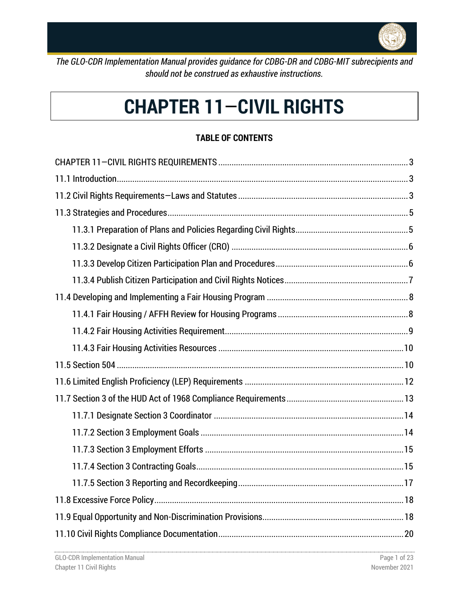

*The GLO-CDR Implementation Manual provides guidance for CDBG-DR and CDBG-MIT subrecipients and should not be construed as exhaustive instructions.*

# **CHAPTER 11**—**CIVIL RIGHTS**

## **TABLE OF CONTENTS**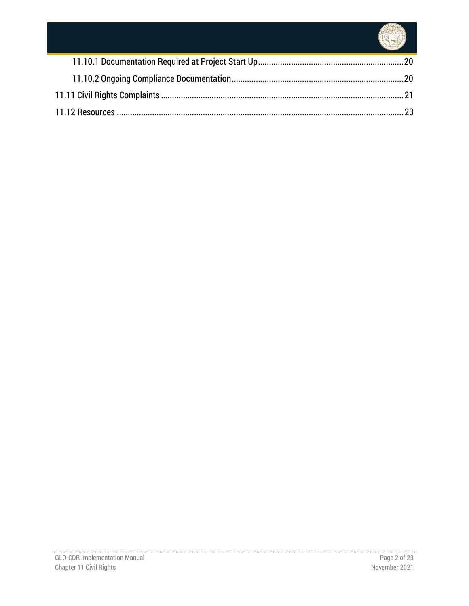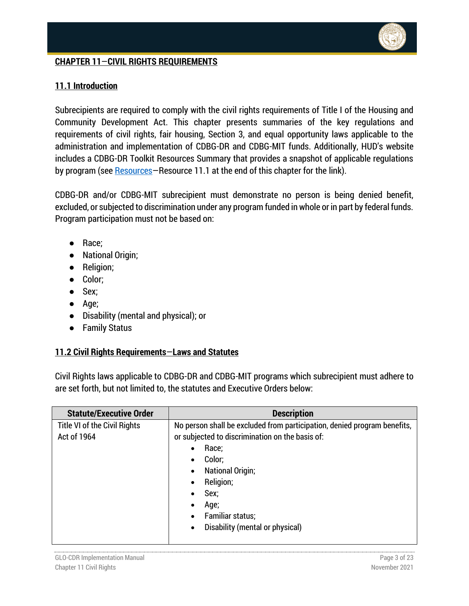

## <span id="page-2-0"></span>**CHAPTER 11**—**CIVIL RIGHTS REQUIREMENTS**

#### <span id="page-2-1"></span>**11.1 Introduction**

Subrecipients are required to comply with the civil rights requirements of Title I of the Housing and Community Development Act. This chapter presents summaries of the key regulations and requirements of civil rights, fair housing, Section 3, and equal opportunity laws applicable to the administration and implementation of CDBG-DR and CDBG-MIT funds. Additionally, HUD's website includes a CDBG-DR Toolkit Resources Summary that provides a snapshot of applicable regulations by program (see **Resources**—Resource 11.1 at the end of this chapter for the link).

CDBG-DR and/or CDBG-MIT subrecipient must demonstrate no person is being denied benefit, excluded, or subjected to discrimination under any program funded in whole or in part by federal funds. Program participation must not be based on:

- Race;
- National Origin;
- Religion;
- Color;
- Sex;
- Age;
- Disability (mental and physical); or
- Family Status

#### <span id="page-2-2"></span>**11.2 Civil Rights Requirements**—**Laws and Statutes**

Civil Rights laws applicable to CDBG-DR and CDBG-MIT programs which subrecipient must adhere to are set forth, but not limited to, the statutes and Executive Orders below:

| <b>Statute/Executive Order</b> | <b>Description</b>                                                       |
|--------------------------------|--------------------------------------------------------------------------|
| Title VI of the Civil Rights   | No person shall be excluded from participation, denied program benefits, |
| Act of 1964                    | or subjected to discrimination on the basis of:                          |
|                                | Race;<br>$\bullet$                                                       |
|                                | Color;<br>$\bullet$                                                      |
|                                | <b>National Origin;</b><br>$\bullet$                                     |
|                                | Religion;<br>$\bullet$                                                   |
|                                | Sex;<br>$\bullet$                                                        |
|                                | Age;<br>$\bullet$                                                        |
|                                | Familiar status;<br>$\bullet$                                            |
|                                | Disability (mental or physical)<br>$\bullet$                             |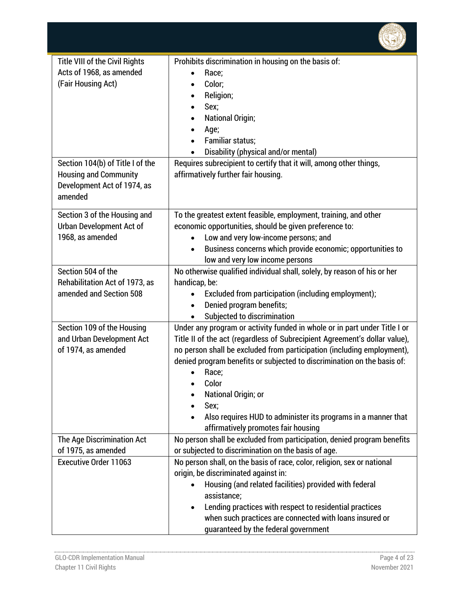

| <b>Title VIII of the Civil Rights</b><br>Acts of 1968, as amended<br>(Fair Housing Act)<br>Section 104(b) of Title I of the<br><b>Housing and Community</b><br>Development Act of 1974, as | Prohibits discrimination in housing on the basis of:<br>Race;<br>Color;<br>$\bullet$<br>Religion;<br>$\bullet$<br>Sex;<br>$\bullet$<br><b>National Origin;</b><br>$\bullet$<br>Age;<br>$\bullet$<br><b>Familiar status;</b><br>$\bullet$<br>Disability (physical and/or mental)<br>$\bullet$<br>Requires subrecipient to certify that it will, among other things,<br>affirmatively further fair housing.                                                             |
|--------------------------------------------------------------------------------------------------------------------------------------------------------------------------------------------|-----------------------------------------------------------------------------------------------------------------------------------------------------------------------------------------------------------------------------------------------------------------------------------------------------------------------------------------------------------------------------------------------------------------------------------------------------------------------|
| amended                                                                                                                                                                                    |                                                                                                                                                                                                                                                                                                                                                                                                                                                                       |
| Section 3 of the Housing and<br>Urban Development Act of<br>1968, as amended                                                                                                               | To the greatest extent feasible, employment, training, and other<br>economic opportunities, should be given preference to:<br>Low and very low-income persons; and<br>Business concerns which provide economic; opportunities to<br>$\bullet$<br>low and very low income persons                                                                                                                                                                                      |
| Section 504 of the<br>Rehabilitation Act of 1973, as<br>amended and Section 508                                                                                                            | No otherwise qualified individual shall, solely, by reason of his or her<br>handicap, be:<br>Excluded from participation (including employment);<br>Denied program benefits;<br>$\bullet$<br>Subjected to discrimination                                                                                                                                                                                                                                              |
| Section 109 of the Housing<br>and Urban Development Act<br>of 1974, as amended                                                                                                             | Under any program or activity funded in whole or in part under Title I or<br>Title II of the act (regardless of Subrecipient Agreement's dollar value),<br>no person shall be excluded from participation (including employment),<br>denied program benefits or subjected to discrimination on the basis of:<br>Race;<br>Color<br>National Origin; or<br>Sex;<br>Also requires HUD to administer its programs in a manner that<br>affirmatively promotes fair housing |
| The Age Discrimination Act<br>of 1975, as amended                                                                                                                                          | No person shall be excluded from participation, denied program benefits<br>or subjected to discrimination on the basis of age.                                                                                                                                                                                                                                                                                                                                        |
| Executive Order 11063                                                                                                                                                                      | No person shall, on the basis of race, color, religion, sex or national<br>origin, be discriminated against in:<br>Housing (and related facilities) provided with federal<br>assistance;<br>Lending practices with respect to residential practices<br>when such practices are connected with loans insured or<br>guaranteed by the federal government                                                                                                                |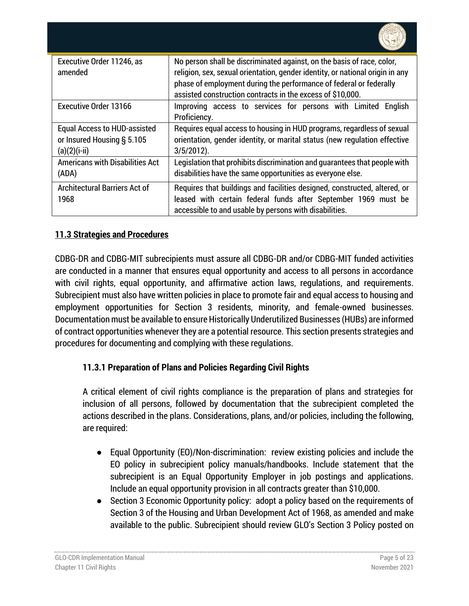| Executive Order 11246, as<br>amended                                              | No person shall be discriminated against, on the basis of race, color,<br>religion, sex, sexual orientation, gender identity, or national origin in any<br>phase of employment during the performance of federal or federally<br>assisted construction contracts in the excess of \$10,000. |
|-----------------------------------------------------------------------------------|---------------------------------------------------------------------------------------------------------------------------------------------------------------------------------------------------------------------------------------------------------------------------------------------|
| <b>Executive Order 13166</b>                                                      | Improving access to services for persons with Limited<br>English<br>Proficiency.                                                                                                                                                                                                            |
| <b>Equal Access to HUD-assisted</b><br>or Insured Housing § 5.105<br>(a)(2)(i-ii) | Requires equal access to housing in HUD programs, regardless of sexual<br>orientation, gender identity, or marital status (new regulation effective<br>$3/5/2012$ ).                                                                                                                        |
| <b>Americans with Disabilities Act</b><br>(ADA)                                   | Legislation that prohibits discrimination and quarantees that people with<br>disabilities have the same opportunities as everyone else.                                                                                                                                                     |
| <b>Architectural Barriers Act of</b><br>1968                                      | Requires that buildings and facilities designed, constructed, altered, or<br>leased with certain federal funds after September 1969 must be<br>accessible to and usable by persons with disabilities.                                                                                       |

# <span id="page-4-0"></span>**11.3 Strategies and Procedures**

CDBG-DR and CDBG-MIT subrecipients must assure all CDBG-DR and/or CDBG-MIT funded activities are conducted in a manner that ensures equal opportunity and access to all persons in accordance with civil rights, equal opportunity, and affirmative action laws, regulations, and requirements. Subrecipient must also have written policies in place to promote fair and equal access to housing and employment opportunities for Section 3 residents, minority, and female-owned businesses. Documentation must be available to ensure Historically Underutilized Businesses (HUBs) are informed of contract opportunities whenever they are a potential resource. This section presents strategies and procedures for documenting and complying with these regulations.

# <span id="page-4-1"></span>**11.3.1 Preparation of Plans and Policies Regarding Civil Rights**

A critical element of civil rights compliance is the preparation of plans and strategies for inclusion of all persons, followed by documentation that the subrecipient completed the actions described in the plans. Considerations, plans, and/or policies, including the following, are required:

- Equal Opportunity (EO)/Non-discrimination: review existing policies and include the EO policy in subrecipient policy manuals/handbooks. Include statement that the subrecipient is an Equal Opportunity Employer in job postings and applications. Include an equal opportunity provision in all contracts greater than \$10,000.
- Section 3 Economic Opportunity policy: adopt a policy based on the requirements of Section 3 of the Housing and Urban Development Act of 1968, as amended and make available to the public. Subrecipient should review GLO's Section 3 Policy posted on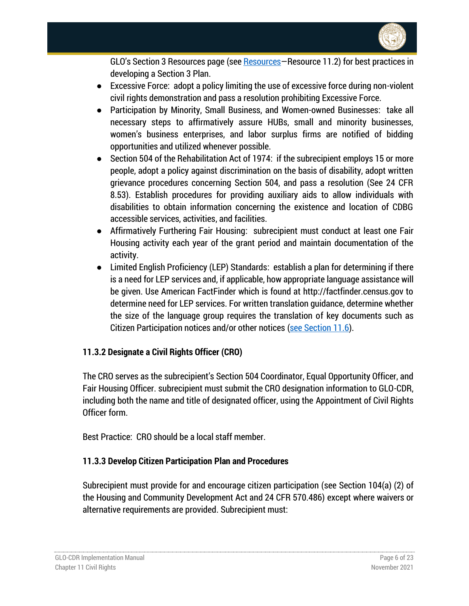

GLO's Section 3 [Resources](#page-22-0) page (see **Resources**–Resource 11.2) for best practices in developing a Section 3 Plan.

- Excessive Force: adopt a policy limiting the use of excessive force during non-violent civil rights demonstration and pass a resolution prohibiting Excessive Force.
- Participation by Minority, Small Business, and Women-owned Businesses: take all necessary steps to affirmatively assure HUBs, small and minority businesses, women's business enterprises, and labor surplus firms are notified of bidding opportunities and utilized whenever possible.
- Section 504 of the Rehabilitation Act of 1974: if the subrecipient employs 15 or more people, adopt a policy against discrimination on the basis of disability, adopt written grievance procedures concerning Section 504, and pass a resolution (See 24 CFR 8.53). Establish procedures for providing auxiliary aids to allow individuals with disabilities to obtain information concerning the existence and location of CDBG accessible services, activities, and facilities.
- Affirmatively Furthering Fair Housing: subrecipient must conduct at least one Fair Housing activity each year of the grant period and maintain documentation of the activity.
- Limited English Proficiency (LEP) Standards: establish a plan for determining if there is a need for LEP services and, if applicable, how appropriate language assistance will be given. Use American FactFinder which is found at http://factfinder.census.gov to determine need for LEP services. For written translation guidance, determine whether the size of the language group requires the translation of key documents such as Citizen Participation notices and/or other notices [\(see Section 11.6\)](#page-11-0).

## <span id="page-5-0"></span>**11.3.2 Designate a Civil Rights Officer (CRO)**

The CRO serves as the subrecipient's Section 504 Coordinator, Equal Opportunity Officer, and Fair Housing Officer. subrecipient must submit the CRO designation information to GLO-CDR, including both the name and title of designated officer, using the Appointment of Civil Rights Officer form.

Best Practice: CRO should be a local staff member.

## <span id="page-5-1"></span>**11.3.3 Develop Citizen Participation Plan and Procedures**

Subrecipient must provide for and encourage citizen participation (see Section 104(a) (2) of the Housing and Community Development Act and 24 CFR 570.486) except where waivers or alternative requirements are provided. Subrecipient must: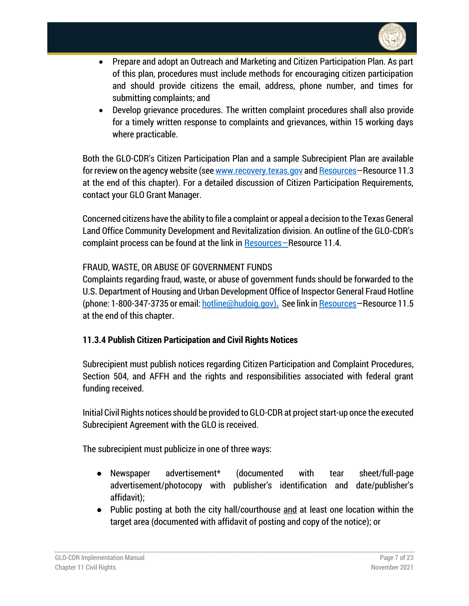

- Prepare and adopt an Outreach and Marketing and Citizen Participation Plan. As part of this plan, procedures must include methods for encouraging citizen participation and should provide citizens the email, address, phone number, and times for submitting complaints; and
- Develop grievance procedures. The written complaint procedures shall also provide for a timely written response to complaints and grievances, within 15 working days where practicable.

Both the GLO-CDR's Citizen Participation Plan and a sample Subrecipient Plan are available for review on the agency website (se[e www.recovery.texas.gov](http://www.recovery.texas.gov/) an[d Resources](#page-22-0)-Resource 11.3 at the end of this chapter). For a detailed discussion of Citizen Participation Requirements, contact your GLO Grant Manager.

Concerned citizens have the ability to file a complaint or appeal a decision to the Texas General Land Office Community Development and Revitalization division. An outline of the GLO-CDR's complaint process can be found at the link in [Resources](#page-22-0)–Resource 11.4.

## FRAUD, WASTE, OR ABUSE OF GOVERNMENT FUNDS

Complaints regarding fraud, waste, or abuse of government funds should be forwarded to the U.S. Department of Housing and Urban Development Office of Inspector General Fraud Hotline (phone: 1-800-347-3735 or email: [hotline@hudoig.gov\)](mailto:hotline@hudoig.gov)**.** See link i[n Resources](#page-22-0)—Resource 11.5 at the end of this chapter.

## <span id="page-6-0"></span>**11.3.4 Publish Citizen Participation and Civil Rights Notices**

Subrecipient must publish notices regarding Citizen Participation and Complaint Procedures, Section 504, and AFFH and the rights and responsibilities associated with federal grant funding received.

Initial Civil Rights notices should be provided to GLO-CDR at project start-up once the executed Subrecipient Agreement with the GLO is received.

The subrecipient must publicize in one of three ways:

- Newspaper advertisement\* (documented with tear sheet/full-page advertisement/photocopy with publisher's identification and date/publisher's affidavit);
- Public posting at both the city hall/courthouse and at least one location within the target area (documented with affidavit of posting and copy of the notice); or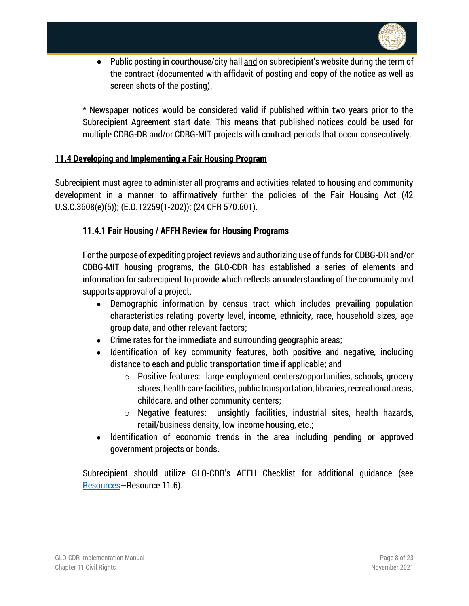

● Public posting in courthouse/city hall and on subrecipient's website during the term of the contract (documented with affidavit of posting and copy of the notice as well as screen shots of the posting).

\* Newspaper notices would be considered valid if published within two years prior to the Subrecipient Agreement start date. This means that published notices could be used for multiple CDBG-DR and/or CDBG-MIT projects with contract periods that occur consecutively.

#### <span id="page-7-0"></span>**11.4 Developing and Implementing a Fair Housing Program**

Subrecipient must agree to administer all programs and activities related to housing and community development in a manner to affirmatively further the policies of the Fair Housing Act (42 U.S.C.3608(e)(5)); (E.O.12259(1-202)); (24 CFR 570.601).

## <span id="page-7-1"></span>**11.4.1 Fair Housing / AFFH Review for Housing Programs**

For the purpose of expediting project reviews and authorizing use of funds for CDBG-DR and/or CDBG-MIT housing programs, the GLO-CDR has established a series of elements and information for subrecipient to provide which reflects an understanding of the community and supports approval of a project.

- Demographic information by census tract which includes prevailing population characteristics relating poverty level, income, ethnicity, race, household sizes, age group data, and other relevant factors;
- Crime rates for the immediate and surrounding geographic areas;
- Identification of key community features, both positive and negative, including distance to each and public transportation time if applicable; and
	- o Positive features: large employment centers/opportunities, schools, grocery stores, health care facilities, public transportation, libraries, recreational areas, childcare, and other community centers;
	- o Negative features: unsightly facilities, industrial sites, health hazards, retail/business density, low-income housing, etc.;
- Identification of economic trends in the area including pending or approved government projects or bonds.

Subrecipient should utilize GLO-CDR's AFFH Checklist for additional guidance (see [Resources](#page-22-0)—Resource 11.6).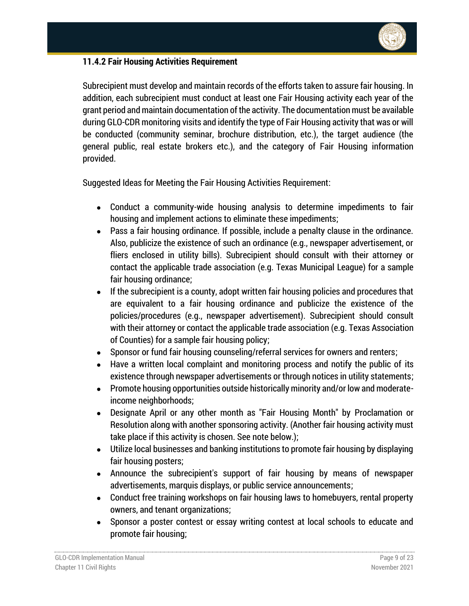

## <span id="page-8-0"></span>**11.4.2 Fair Housing Activities Requirement**

Subrecipient must develop and maintain records of the efforts taken to assure fair housing. In addition, each subrecipient must conduct at least one Fair Housing activity each year of the grant period and maintain documentation of the activity. The documentation must be available during GLO-CDR monitoring visits and identify the type of Fair Housing activity that was or will be conducted (community seminar, brochure distribution, etc.), the target audience (the general public, real estate brokers etc.), and the category of Fair Housing information provided.

Suggested Ideas for Meeting the Fair Housing Activities Requirement:

- Conduct a community-wide housing analysis to determine impediments to fair housing and implement actions to eliminate these impediments;
- Pass a fair housing ordinance. If possible, include a penalty clause in the ordinance. Also, publicize the existence of such an ordinance (e.g., newspaper advertisement, or fliers enclosed in utility bills). Subrecipient should consult with their attorney or contact the applicable trade association (e.g. Texas Municipal League) for a sample fair housing ordinance;
- If the subrecipient is a county, adopt written fair housing policies and procedures that are equivalent to a fair housing ordinance and publicize the existence of the policies/procedures (e.g., newspaper advertisement). Subrecipient should consult with their attorney or contact the applicable trade association (e.g. Texas Association of Counties) for a sample fair housing policy;
- Sponsor or fund fair housing counseling/referral services for owners and renters;
- Have a written local complaint and monitoring process and notify the public of its existence through newspaper advertisements or through notices in utility statements;
- Promote housing opportunities outside historically minority and/or low and moderateincome neighborhoods;
- Designate April or any other month as "Fair Housing Month" by Proclamation or Resolution along with another sponsoring activity. (Another fair housing activity must take place if this activity is chosen. See note below.);
- Utilize local businesses and banking institutions to promote fair housing by displaying fair housing posters;
- Announce the subrecipient's support of fair housing by means of newspaper advertisements, marquis displays, or public service announcements;
- Conduct free training workshops on fair housing laws to homebuyers, rental property owners, and tenant organizations;
- Sponsor a poster contest or essay writing contest at local schools to educate and promote fair housing;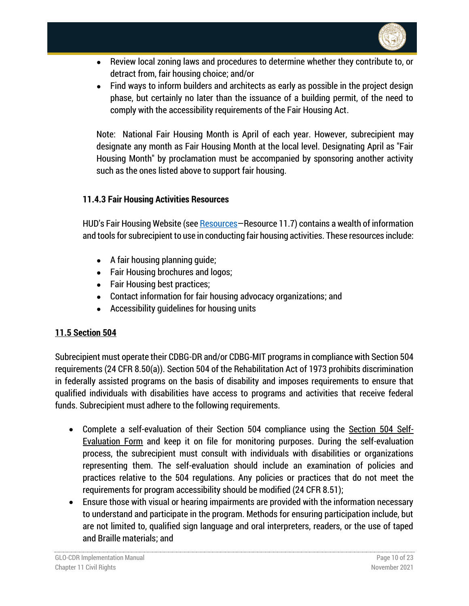

- Review local zoning laws and procedures to determine whether they contribute to, or detract from, fair housing choice; and/or
- Find ways to inform builders and architects as early as possible in the project design phase, but certainly no later than the issuance of a building permit, of the need to comply with the accessibility requirements of the Fair Housing Act.

Note: National Fair Housing Month is April of each year. However, subrecipient may designate any month as Fair Housing Month at the local level. Designating April as "Fair Housing Month" by proclamation must be accompanied by sponsoring another activity such as the ones listed above to support fair housing.

## <span id="page-9-0"></span>**11.4.3 Fair Housing Activities Resources**

HUD's Fair Housing Website (see [Resources](#page-22-0)–Resource 11.7) contains a wealth of information and tools for subrecipient to use in conducting fair housing activities. These resources include:

- $\bullet$  A fair housing planning quide;
- Fair Housing brochures and logos;
- Fair Housing best practices;
- Contact information for fair housing advocacy organizations; and
- Accessibility guidelines for housing units

## <span id="page-9-1"></span>**11.5 Section 504**

Subrecipient must operate their CDBG-DR and/or CDBG-MIT programs in compliance with Section 504 requirements (24 CFR 8.50(a)). Section 504 of the Rehabilitation Act of 1973 prohibits discrimination in federally assisted programs on the basis of disability and imposes requirements to ensure that qualified individuals with disabilities have access to programs and activities that receive federal funds. Subrecipient must adhere to the following requirements.

- Complete a self-evaluation of their Section 504 compliance using the Section 504 Self-Evaluation Form and keep it on file for monitoring purposes. During the self-evaluation process, the subrecipient must consult with individuals with disabilities or organizations representing them. The self-evaluation should include an examination of policies and practices relative to the 504 regulations. Any policies or practices that do not meet the requirements for program accessibility should be modified (24 CFR 8.51);
- Ensure those with visual or hearing impairments are provided with the information necessary to understand and participate in the program. Methods for ensuring participation include, but are not limited to, qualified sign language and oral interpreters, readers, or the use of taped and Braille materials; and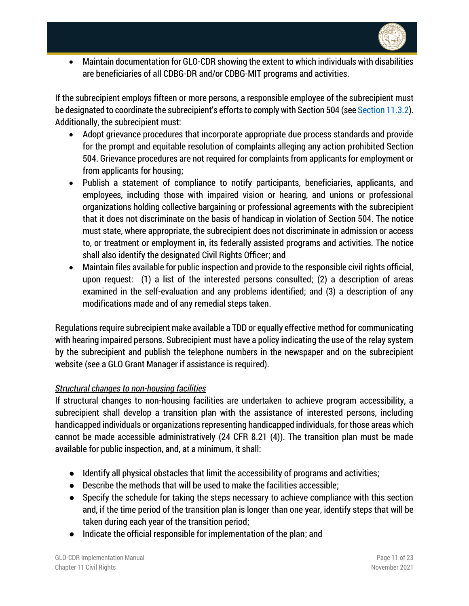

• Maintain documentation for GLO-CDR showing the extent to which individuals with disabilities are beneficiaries of all CDBG-DR and/or CDBG-MIT programs and activities.

If the subrecipient employs fifteen or more persons, a responsible employee of the subrecipient must be designated to coordinate the subrecipient's efforts to comply with Section 504 (se[e Section 11.3.2\)](#page-5-0). Additionally, the subrecipient must:

- Adopt grievance procedures that incorporate appropriate due process standards and provide for the prompt and equitable resolution of complaints alleging any action prohibited Section 504. Grievance procedures are not required for complaints from applicants for employment or from applicants for housing;
- Publish a statement of compliance to notify participants, beneficiaries, applicants, and employees, including those with impaired vision or hearing, and unions or professional organizations holding collective bargaining or professional agreements with the subrecipient that it does not discriminate on the basis of handicap in violation of Section 504. The notice must state, where appropriate, the subrecipient does not discriminate in admission or access to, or treatment or employment in, its federally assisted programs and activities. The notice shall also identify the designated Civil Rights Officer; and
- Maintain files available for public inspection and provide to the responsible civil rights official, upon request: (1) a list of the interested persons consulted; (2) a description of areas examined in the self-evaluation and any problems identified; and (3) a description of any modifications made and of any remedial steps taken.

Regulations require subrecipient make available a TDD or equally effective method for communicating with hearing impaired persons. Subrecipient must have a policy indicating the use of the relay system by the subrecipient and publish the telephone numbers in the newspaper and on the subrecipient website (see a GLO Grant Manager if assistance is required).

## *Structural changes to non-housing facilities*

If structural changes to non-housing facilities are undertaken to achieve program accessibility, a subrecipient shall develop a transition plan with the assistance of interested persons, including handicapped individuals or organizations representing handicapped individuals, for those areas which cannot be made accessible administratively (24 CFR 8.21 (4)). The transition plan must be made available for public inspection, and, at a minimum, it shall:

- Identify all physical obstacles that limit the accessibility of programs and activities;
- $\bullet$  Describe the methods that will be used to make the facilities accessible:
- Specify the schedule for taking the steps necessary to achieve compliance with this section and, if the time period of the transition plan is longer than one year, identify steps that will be taken during each year of the transition period;
- Indicate the official responsible for implementation of the plan; and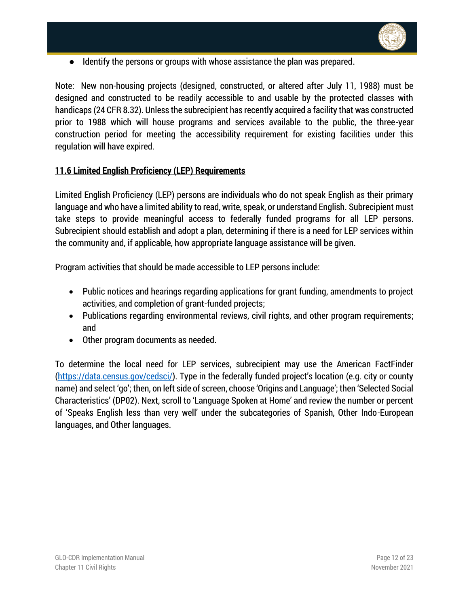

● Identify the persons or groups with whose assistance the plan was prepared.

Note: New non-housing projects (designed, constructed, or altered after July 11, 1988) must be designed and constructed to be readily accessible to and usable by the protected classes with handicaps (24 CFR 8.32). Unless the subrecipient has recently acquired a facility that was constructed prior to 1988 which will house programs and services available to the public, the three-year construction period for meeting the accessibility requirement for existing facilities under this regulation will have expired.

#### <span id="page-11-0"></span>**11.6 Limited English Proficiency (LEP) Requirements**

Limited English Proficiency (LEP) persons are individuals who do not speak English as their primary language and who have a limited ability to read, write, speak, or understand English. Subrecipient must take steps to provide meaningful access to federally funded programs for all LEP persons. Subrecipient should establish and adopt a plan, determining if there is a need for LEP services within the community and, if applicable, how appropriate language assistance will be given.

Program activities that should be made accessible to LEP persons include:

- Public notices and hearings regarding applications for grant funding, amendments to project activities, and completion of grant-funded projects;
- Publications regarding environmental reviews, civil rights, and other program requirements; and
- Other program documents as needed.

To determine the local need for LEP services, subrecipient may use the American FactFinder [\(https://data.census.gov/cedsci/](https://data.census.gov/cedsci/)). Type in the federally funded project's location (e.g. city or county name) and select 'go'; then, on left side of screen, choose 'Origins and Language'; then 'Selected Social Characteristics' (DP02). Next, scroll to 'Language Spoken at Home' and review the number or percent of 'Speaks English less than very well' under the subcategories of Spanish, Other Indo-European languages, and Other languages.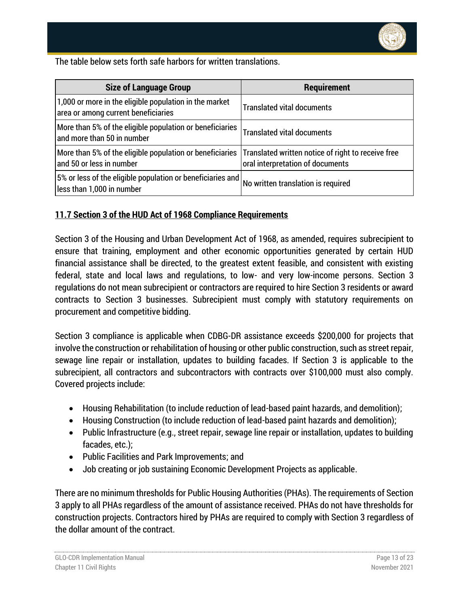

The table below sets forth safe harbors for written translations.

| <b>Size of Language Group</b>                                                                 | Requirement                                                                            |
|-----------------------------------------------------------------------------------------------|----------------------------------------------------------------------------------------|
| 1,000 or more in the eligible population in the market<br>area or among current beneficiaries | <b>Translated vital documents</b>                                                      |
| More than 5% of the eligible population or beneficiaries<br>and more than 50 in number        | <b>Translated vital documents</b>                                                      |
| More than 5% of the eligible population or beneficiaries<br>and 50 or less in number          | Translated written notice of right to receive free<br>oral interpretation of documents |
| 5% or less of the eligible population or beneficiaries and<br>less than 1,000 in number       | No written translation is required                                                     |

#### <span id="page-12-0"></span>**11.7 Section 3 of the HUD Act of 1968 Compliance Requirements**

Section 3 of the Housing and Urban Development Act of 1968, as amended, requires subrecipient to ensure that training, employment and other economic opportunities generated by certain HUD financial assistance shall be directed, to the greatest extent feasible, and consistent with existing federal, state and local laws and regulations, to low- and very low-income persons. Section 3 regulations do not mean subrecipient or contractors are required to hire Section 3 residents or award contracts to Section 3 businesses. Subrecipient must comply with statutory requirements on procurement and competitive bidding.

Section 3 compliance is applicable when CDBG-DR assistance exceeds \$200,000 for projects that involve the construction or rehabilitation of housing or other public construction, such as street repair, sewage line repair or installation, updates to building facades. If Section 3 is applicable to the subrecipient, all contractors and subcontractors with contracts over \$100,000 must also comply. Covered projects include:

- Housing Rehabilitation (to include reduction of lead-based paint hazards, and demolition);
- Housing Construction (to include reduction of lead-based paint hazards and demolition);
- Public Infrastructure (e.g., street repair, sewage line repair or installation, updates to building facades, etc.);
- Public Facilities and Park Improvements; and
- Job creating or job sustaining Economic Development Projects as applicable.

There are no minimum thresholds for Public Housing Authorities (PHAs). The requirements of Section 3 apply to all PHAs regardless of the amount of assistance received. PHAs do not have thresholds for construction projects. Contractors hired by PHAs are required to comply with Section 3 regardless of the dollar amount of the contract.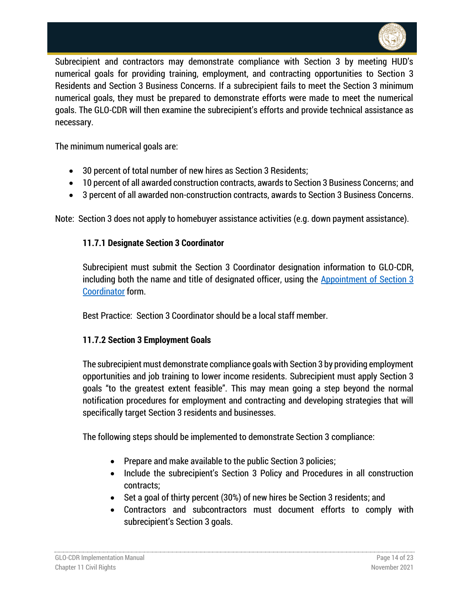

Subrecipient and contractors may demonstrate compliance with Section 3 by meeting HUD's numerical goals for providing training, employment, and contracting opportunities to Section 3 Residents and Section 3 Business Concerns. If a subrecipient fails to meet the Section 3 minimum numerical goals, they must be prepared to demonstrate efforts were made to meet the numerical goals. The GLO-CDR will then examine the subrecipient's efforts and provide technical assistance as necessary.

The minimum numerical goals are:

- 30 percent of total number of new hires as Section 3 Residents;
- 10 percent of all awarded construction contracts, awards to Section 3 Business Concerns; and
- 3 percent of all awarded non-construction contracts, awards to Section 3 Business Concerns.

<span id="page-13-0"></span>Note: Section 3 does not apply to homebuyer assistance activities (e.g. down payment assistance).

#### **11.7.1 Designate Section 3 Coordinator**

Subrecipient must submit the Section 3 Coordinator designation information to GLO-CDR, including both the name and title of designated officer, using the Appointment of Section 3 [Coordinator](https://recovery.texas.gov/files/resources/infrastructure/s7-appointment-of-section-3-coordinator.xlsx) form.

Best Practice: Section 3 Coordinator should be a local staff member.

#### <span id="page-13-1"></span>**11.7.2 Section 3 Employment Goals**

The subrecipient must demonstrate compliance goals with Section 3 by providing employment opportunities and job training to lower income residents. Subrecipient must apply Section 3 goals "to the greatest extent feasible". This may mean going a step beyond the normal notification procedures for employment and contracting and developing strategies that will specifically target Section 3 residents and businesses.

The following steps should be implemented to demonstrate Section 3 compliance:

- Prepare and make available to the public Section 3 policies;
- Include the subrecipient's Section 3 Policy and Procedures in all construction contracts;
- Set a goal of thirty percent (30%) of new hires be Section 3 residents; and
- Contractors and subcontractors must document efforts to comply with subrecipient's Section 3 goals.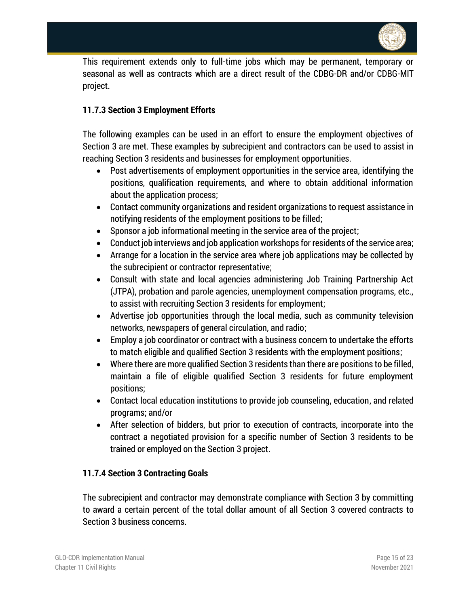

This requirement extends only to full-time jobs which may be permanent, temporary or seasonal as well as contracts which are a direct result of the CDBG-DR and/or CDBG-MIT project.

## <span id="page-14-0"></span>**11.7.3 Section 3 Employment Efforts**

The following examples can be used in an effort to ensure the employment objectives of Section 3 are met. These examples by subrecipient and contractors can be used to assist in reaching Section 3 residents and businesses for employment opportunities.

- Post advertisements of employment opportunities in the service area, identifying the positions, qualification requirements, and where to obtain additional information about the application process;
- Contact community organizations and resident organizations to request assistance in notifying residents of the employment positions to be filled;
- Sponsor a job informational meeting in the service area of the project;
- Conduct job interviews and job application workshops for residents of the service area;
- Arrange for a location in the service area where job applications may be collected by the subrecipient or contractor representative;
- Consult with state and local agencies administering Job Training Partnership Act (JTPA), probation and parole agencies, unemployment compensation programs, etc., to assist with recruiting Section 3 residents for employment;
- Advertise job opportunities through the local media, such as community television networks, newspapers of general circulation, and radio;
- Employ a job coordinator or contract with a business concern to undertake the efforts to match eligible and qualified Section 3 residents with the employment positions;
- Where there are more qualified Section 3 residents than there are positions to be filled, maintain a file of eligible qualified Section 3 residents for future employment positions;
- Contact local education institutions to provide job counseling, education, and related programs; and/or
- After selection of bidders, but prior to execution of contracts, incorporate into the contract a negotiated provision for a specific number of Section 3 residents to be trained or employed on the Section 3 project.

## <span id="page-14-1"></span>**11.7.4 Section 3 Contracting Goals**

The subrecipient and contractor may demonstrate compliance with Section 3 by committing to award a certain percent of the total dollar amount of all Section 3 covered contracts to Section 3 business concerns.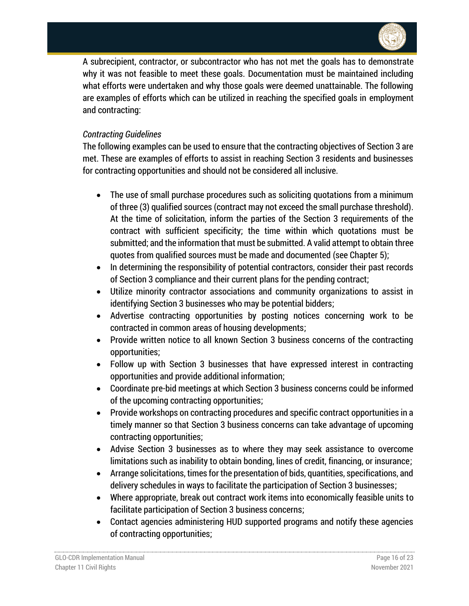

A subrecipient, contractor, or subcontractor who has not met the goals has to demonstrate why it was not feasible to meet these goals. Documentation must be maintained including what efforts were undertaken and why those goals were deemed unattainable. The following are examples of efforts which can be utilized in reaching the specified goals in employment and contracting:

## *Contracting Guidelines*

The following examples can be used to ensure that the contracting objectives of Section 3 are met. These are examples of efforts to assist in reaching Section 3 residents and businesses for contracting opportunities and should not be considered all inclusive.

- The use of small purchase procedures such as soliciting quotations from a minimum of three (3) qualified sources (contract may not exceed the small purchase threshold). At the time of solicitation, inform the parties of the Section 3 requirements of the contract with sufficient specificity; the time within which quotations must be submitted; and the information that must be submitted. A valid attempt to obtain three quotes from qualified sources must be made and documented (see Chapter 5);
- In determining the responsibility of potential contractors, consider their past records of Section 3 compliance and their current plans for the pending contract;
- Utilize minority contractor associations and community organizations to assist in identifying Section 3 businesses who may be potential bidders;
- Advertise contracting opportunities by posting notices concerning work to be contracted in common areas of housing developments;
- Provide written notice to all known Section 3 business concerns of the contracting opportunities;
- Follow up with Section 3 businesses that have expressed interest in contracting opportunities and provide additional information;
- Coordinate pre-bid meetings at which Section 3 business concerns could be informed of the upcoming contracting opportunities;
- Provide workshops on contracting procedures and specific contract opportunities in a timely manner so that Section 3 business concerns can take advantage of upcoming contracting opportunities;
- Advise Section 3 businesses as to where they may seek assistance to overcome limitations such as inability to obtain bonding, lines of credit, financing, or insurance;
- Arrange solicitations, times for the presentation of bids, quantities, specifications, and delivery schedules in ways to facilitate the participation of Section 3 businesses;
- Where appropriate, break out contract work items into economically feasible units to facilitate participation of Section 3 business concerns;
- Contact agencies administering HUD supported programs and notify these agencies of contracting opportunities;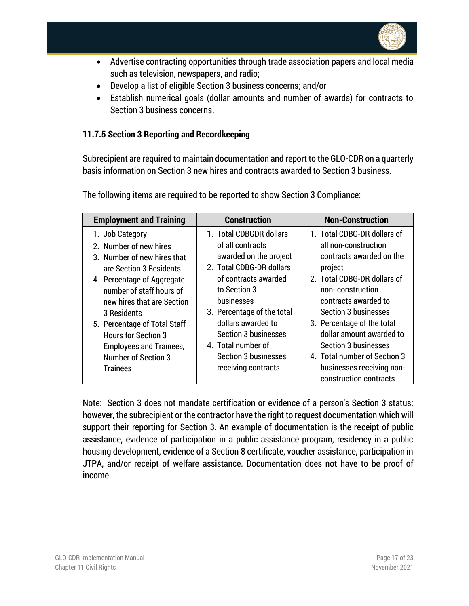

- Advertise contracting opportunities through trade association papers and local media such as television, newspapers, and radio;
- Develop a list of eligible Section 3 business concerns; and/or
- Establish numerical goals (dollar amounts and number of awards) for contracts to Section 3 business concerns.

## <span id="page-16-0"></span>**11.7.5 Section 3 Reporting and Recordkeeping**

Subrecipient are required to maintain documentation and report to the GLO-CDR on a quarterly basis information on Section 3 new hires and contracts awarded to Section 3 business.

| <b>Employment and Training</b>                                                                                                                                                                             | <b>Construction</b>                                                                                                                                                                   | <b>Non-Construction</b>                                                                                                                                                                              |
|------------------------------------------------------------------------------------------------------------------------------------------------------------------------------------------------------------|---------------------------------------------------------------------------------------------------------------------------------------------------------------------------------------|------------------------------------------------------------------------------------------------------------------------------------------------------------------------------------------------------|
| 1. Job Category<br>2. Number of new hires<br>3. Number of new hires that<br>are Section 3 Residents<br>4. Percentage of Aggregate<br>number of staff hours of<br>new hires that are Section<br>3 Residents | 1. Total CDBGDR dollars<br>of all contracts<br>awarded on the project<br>2. Total CDBG-DR dollars<br>of contracts awarded<br>to Section 3<br>businesses<br>3. Percentage of the total | 1. Total CDBG-DR dollars of<br>all non-construction<br>contracts awarded on the<br>project<br>2. Total CDBG-DR dollars of<br>non-construction<br>contracts awarded to<br><b>Section 3 businesses</b> |
| 5. Percentage of Total Staff<br><b>Hours for Section 3</b><br><b>Employees and Trainees,</b><br><b>Number of Section 3</b><br><b>Trainees</b>                                                              | dollars awarded to<br><b>Section 3 businesses</b><br>4. Total number of<br><b>Section 3 businesses</b><br>receiving contracts                                                         | 3. Percentage of the total<br>dollar amount awarded to<br><b>Section 3 businesses</b><br>4. Total number of Section 3<br>businesses receiving non-<br>construction contracts                         |

The following items are required to be reported to show Section 3 Compliance:

Note: Section 3 does not mandate certification or evidence of a person's Section 3 status; however, the subrecipient or the contractor have the right to request documentation which will support their reporting for Section 3. An example of documentation is the receipt of public assistance, evidence of participation in a public assistance program, residency in a public housing development, evidence of a Section 8 certificate, voucher assistance, participation in JTPA, and/or receipt of welfare assistance. Documentation does not have to be proof of income.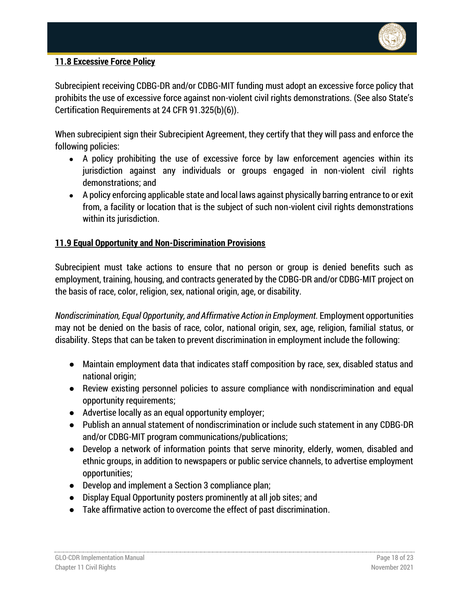

## <span id="page-17-0"></span>**11.8 Excessive Force Policy**

Subrecipient receiving CDBG-DR and/or CDBG-MIT funding must adopt an excessive force policy that prohibits the use of excessive force against non-violent civil rights demonstrations. (See also State's Certification Requirements at 24 CFR 91.325(b)(6)).

When subrecipient sign their Subrecipient Agreement, they certify that they will pass and enforce the following policies:

- A policy prohibiting the use of excessive force by law enforcement agencies within its jurisdiction against any individuals or groups engaged in non-violent civil rights demonstrations; and
- A policy enforcing applicable state and local laws against physically barring entrance to or exit from, a facility or location that is the subject of such non-violent civil rights demonstrations within its jurisdiction.

## <span id="page-17-1"></span>**11.9 Equal Opportunity and Non-Discrimination Provisions**

Subrecipient must take actions to ensure that no person or group is denied benefits such as employment, training, housing, and contracts generated by the CDBG-DR and/or CDBG-MIT project on the basis of race, color, religion, sex, national origin, age, or disability.

*Nondiscrimination, Equal Opportunity, and Affirmative Action in Employment.* Employment opportunities may not be denied on the basis of race, color, national origin, sex, age, religion, familial status, or disability. Steps that can be taken to prevent discrimination in employment include the following:

- Maintain employment data that indicates staff composition by race, sex, disabled status and national origin;
- Review existing personnel policies to assure compliance with nondiscrimination and equal opportunity requirements;
- Advertise locally as an equal opportunity employer;
- Publish an annual statement of nondiscrimination or include such statement in any CDBG-DR and/or CDBG-MIT program communications/publications;
- Develop a network of information points that serve minority, elderly, women, disabled and ethnic groups, in addition to newspapers or public service channels, to advertise employment opportunities;
- Develop and implement a Section 3 compliance plan;
- Display Equal Opportunity posters prominently at all job sites; and
- Take affirmative action to overcome the effect of past discrimination.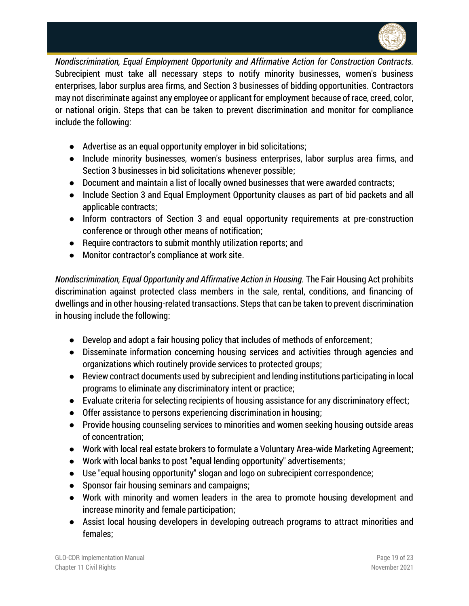

*Nondiscrimination, Equal Employment Opportunity and Affirmative Action for Construction Contracts.* Subrecipient must take all necessary steps to notify minority businesses, women's business enterprises, labor surplus area firms, and Section 3 businesses of bidding opportunities. Contractors may not discriminate against any employee or applicant for employment because of race, creed, color, or national origin. Steps that can be taken to prevent discrimination and monitor for compliance include the following:

- Advertise as an equal opportunity employer in bid solicitations;
- Include minority businesses, women's business enterprises, labor surplus area firms, and Section 3 businesses in bid solicitations whenever possible;
- Document and maintain a list of locally owned businesses that were awarded contracts;
- Include Section 3 and Equal Employment Opportunity clauses as part of bid packets and all applicable contracts;
- Inform contractors of Section 3 and equal opportunity requirements at pre-construction conference or through other means of notification;
- Require contractors to submit monthly utilization reports; and
- Monitor contractor's compliance at work site.

*Nondiscrimination, Equal Opportunity and Affirmative Action in Housing.* The Fair Housing Act prohibits discrimination against protected class members in the sale, rental, conditions, and financing of dwellings and in other housing-related transactions. Steps that can be taken to prevent discrimination in housing include the following:

- Develop and adopt a fair housing policy that includes of methods of enforcement;
- Disseminate information concerning housing services and activities through agencies and organizations which routinely provide services to protected groups;
- Review contract documents used by subrecipient and lending institutions participating in local programs to eliminate any discriminatory intent or practice;
- Evaluate criteria for selecting recipients of housing assistance for any discriminatory effect;
- Offer assistance to persons experiencing discrimination in housing;
- Provide housing counseling services to minorities and women seeking housing outside areas of concentration;
- Work with local real estate brokers to formulate a Voluntary Area-wide Marketing Agreement;
- Work with local banks to post "equal lending opportunity" advertisements;
- Use "equal housing opportunity" slogan and logo on subrecipient correspondence;
- Sponsor fair housing seminars and campaigns;
- Work with minority and women leaders in the area to promote housing development and increase minority and female participation;
- Assist local housing developers in developing outreach programs to attract minorities and females;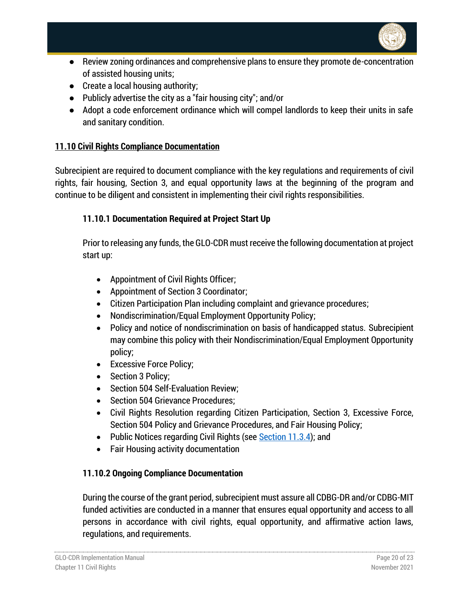

- Review zoning ordinances and comprehensive plans to ensure they promote de-concentration of assisted housing units;
- Create a local housing authority;
- Publicly advertise the city as a "fair housing city"; and/or
- Adopt a code enforcement ordinance which will compel landlords to keep their units in safe and sanitary condition.

## <span id="page-19-0"></span>**11.10 Civil Rights Compliance Documentation**

Subrecipient are required to document compliance with the key regulations and requirements of civil rights, fair housing, Section 3, and equal opportunity laws at the beginning of the program and continue to be diligent and consistent in implementing their civil rights responsibilities.

## <span id="page-19-1"></span>**11.10.1 Documentation Required at Project Start Up**

Prior to releasing any funds, the GLO-CDR must receive the following documentation at project start up:

- Appointment of Civil Rights Officer;
- Appointment of Section 3 Coordinator;
- Citizen Participation Plan including complaint and grievance procedures;
- Nondiscrimination/Equal Employment Opportunity Policy;
- Policy and notice of nondiscrimination on basis of handicapped status. Subrecipient may combine this policy with their Nondiscrimination/Equal Employment Opportunity policy;
- Excessive Force Policy;
- Section 3 Policy;
- Section 504 Self-Evaluation Review;
- Section 504 Grievance Procedures:
- Civil Rights Resolution regarding Citizen Participation, Section 3, Excessive Force, Section 504 Policy and Grievance Procedures, and Fair Housing Policy;
- Public Notices regarding Civil Rights (see [Section 11.3.4\)](#page-6-0); and
- Fair Housing activity documentation

## <span id="page-19-2"></span>**11.10.2 Ongoing Compliance Documentation**

During the course of the grant period, subrecipient must assure all CDBG-DR and/or CDBG-MIT funded activities are conducted in a manner that ensures equal opportunity and access to all persons in accordance with civil rights, equal opportunity, and affirmative action laws, regulations, and requirements.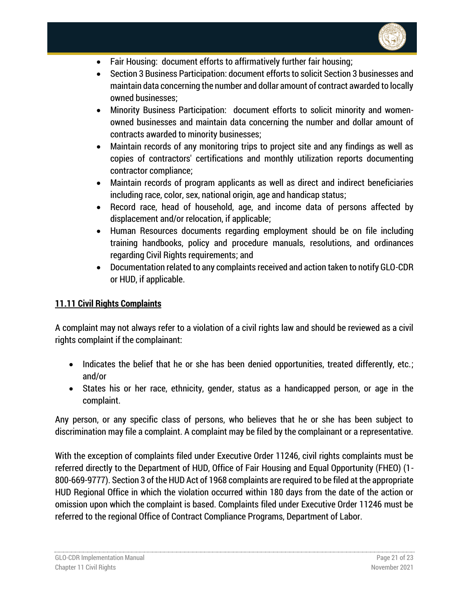

- Fair Housing: document efforts to affirmatively further fair housing;
- Section 3 Business Participation: document efforts to solicit Section 3 businesses and maintain data concerning the number and dollar amount of contract awarded to locally owned businesses;
- Minority Business Participation: document efforts to solicit minority and womenowned businesses and maintain data concerning the number and dollar amount of contracts awarded to minority businesses;
- Maintain records of any monitoring trips to project site and any findings as well as copies of contractors' certifications and monthly utilization reports documenting contractor compliance;
- Maintain records of program applicants as well as direct and indirect beneficiaries including race, color, sex, national origin, age and handicap status;
- Record race, head of household, age, and income data of persons affected by displacement and/or relocation, if applicable;
- Human Resources documents regarding employment should be on file including training handbooks, policy and procedure manuals, resolutions, and ordinances regarding Civil Rights requirements; and
- Documentation related to any complaints received and action taken to notify GLO-CDR or HUD, if applicable.

## <span id="page-20-0"></span>**11.11 Civil Rights Complaints**

A complaint may not always refer to a violation of a civil rights law and should be reviewed as a civil rights complaint if the complainant:

- Indicates the belief that he or she has been denied opportunities, treated differently, etc.; and/or
- States his or her race, ethnicity, gender, status as a handicapped person, or age in the complaint.

Any person, or any specific class of persons, who believes that he or she has been subject to discrimination may file a complaint. A complaint may be filed by the complainant or a representative.

With the exception of complaints filed under Executive Order 11246, civil rights complaints must be referred directly to the Department of HUD, Office of Fair Housing and Equal Opportunity (FHEO) (1- 800-669-9777). Section 3 of the HUD Act of 1968 complaints are required to be filed at the appropriate HUD Regional Office in which the violation occurred within 180 days from the date of the action or omission upon which the complaint is based. Complaints filed under Executive Order 11246 must be referred to the regional Office of Contract Compliance Programs, Department of Labor.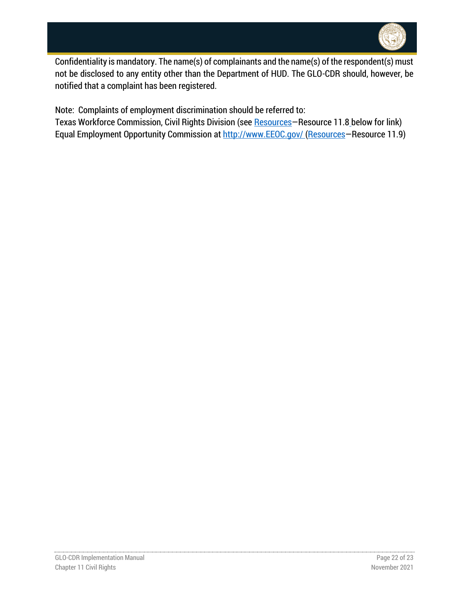

Confidentiality is mandatory. The name(s) of complainants and the name(s) of the respondent(s) must not be disclosed to any entity other than the Department of HUD. The GLO-CDR should, however, be notified that a complaint has been registered.

Note: Complaints of employment discrimination should be referred to:

Texas Workforce Commission, Civil Rights Division (see [Resources](#page-22-0)-Resource 11.8 below for link) Equal Employment Opportunity Commission at [http://www.EEOC.gov/](http://www.eeoc.gov/) [\(Resources](#page-22-0)-Resource 11.9)